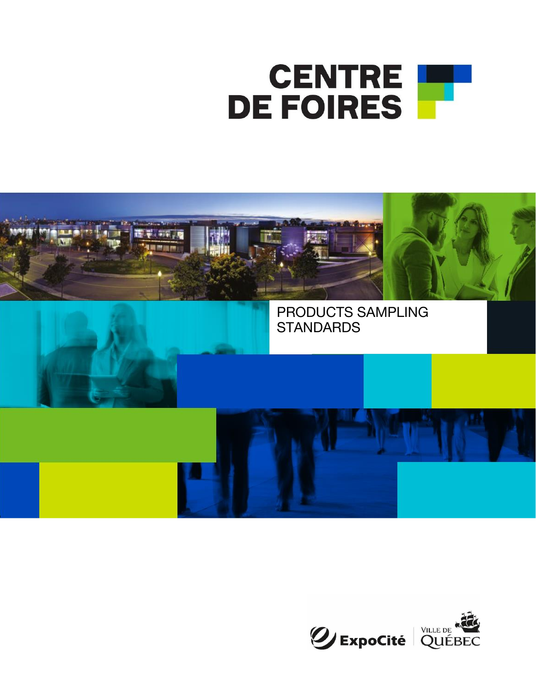



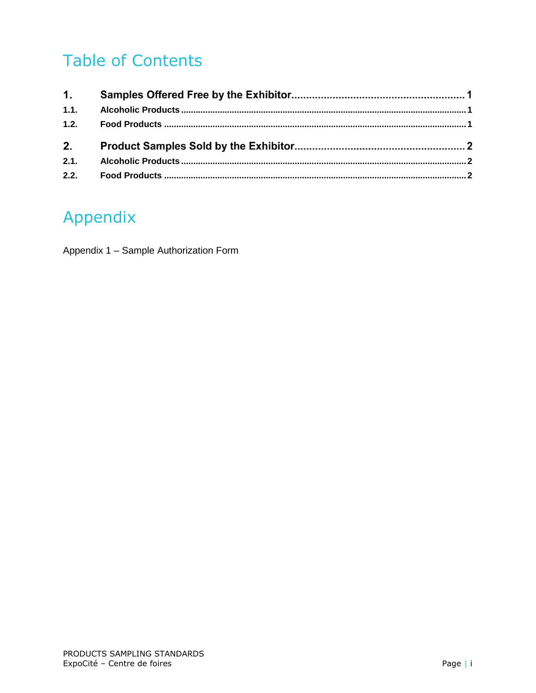# **Table of Contents**

| 1.1. |  |
|------|--|
| 1.2. |  |
|      |  |
| 2.   |  |
| 2.1. |  |

### Appendix

Appendix 1 - Sample Authorization Form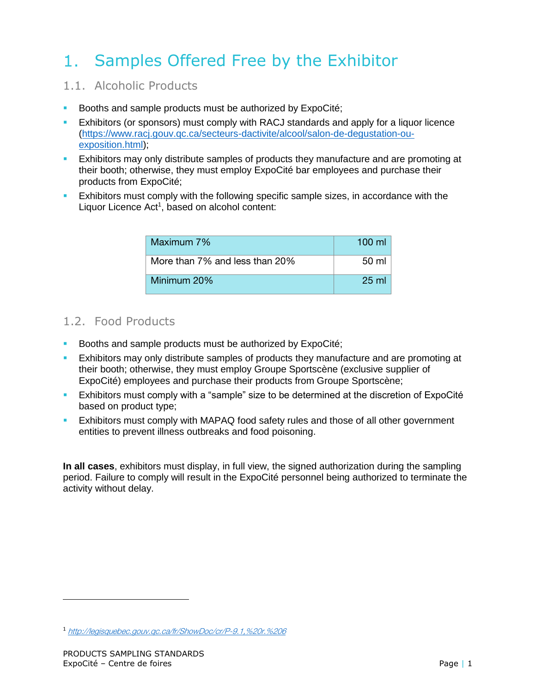#### Samples Offered Free by the Exhibitor  $1_{\cdots}$

### <span id="page-2-0"></span>1.1. Alcoholic Products

- Booths and sample products must be authorized by ExpoCité;
- Exhibitors (or sponsors) must comply with RACJ standards and apply for a liquor licence [\(https://www.racj.gouv.qc.ca/secteurs-dactivite/alcool/salon-de-degustation-ou](https://www.racj.gouv.qc.ca/secteurs-dactivite/alcool/salon-de-degustation-ou-exposition.html)[exposition.html\)](https://www.racj.gouv.qc.ca/secteurs-dactivite/alcool/salon-de-degustation-ou-exposition.html);
- Exhibitors may only distribute samples of products they manufacture and are promoting at their booth; otherwise, they must employ ExpoCité bar employees and purchase their products from ExpoCité;
- Exhibitors must comply with the following specific sample sizes, in accordance with the Liquor Licence Act<sup>1</sup>, based on alcohol content:

| Maximum 7%                     | $100 \mathrm{m}$ |  |  |
|--------------------------------|------------------|--|--|
| More than 7% and less than 20% | 50 ml            |  |  |
| Minimum 20%                    | $25 \text{ ml}$  |  |  |

### <span id="page-2-1"></span>1.2. Food Products

- Booths and sample products must be authorized by ExpoCité;
- **Exhibitors may only distribute samples of products they manufacture and are promoting at** their booth; otherwise, they must employ Groupe Sportscène (exclusive supplier of ExpoCité) employees and purchase their products from Groupe Sportscène;
- **Exhibitors must comply with a "sample" size to be determined at the discretion of ExpoCité** based on product type;
- **Exhibitors must comply with MAPAQ food safety rules and those of all other government** entities to prevent illness outbreaks and food poisoning.

**In all cases**, exhibitors must display, in full view, the signed authorization during the sampling period. Failure to comply will result in the ExpoCité personnel being authorized to terminate the activity without delay.

<sup>1</sup> <http://legisquebec.gouv.qc.ca/fr/ShowDoc/cr/P-9.1,%20r.%206>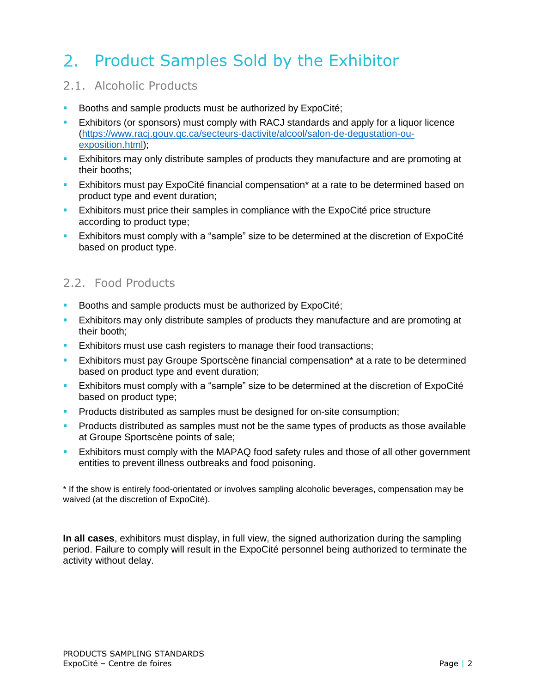# 2. Product Samples Sold by the Exhibitor

### <span id="page-3-0"></span>2.1. Alcoholic Products

- Booths and sample products must be authorized by ExpoCité;
- Exhibitors (or sponsors) must comply with RACJ standards and apply for a liquor licence [\(https://www.racj.gouv.qc.ca/secteurs-dactivite/alcool/salon-de-degustation-ou](https://www.racj.gouv.qc.ca/secteurs-dactivite/alcool/salon-de-degustation-ou-exposition.html)[exposition.html\)](https://www.racj.gouv.qc.ca/secteurs-dactivite/alcool/salon-de-degustation-ou-exposition.html);
- **Exhibitors may only distribute samples of products they manufacture and are promoting at EX is the straight and S** their booths;
- **Exhibitors must pay ExpoCité financial compensation\* at a rate to be determined based on** product type and event duration;
- **Exhibitors must price their samples in compliance with the ExpoCité price structure** according to product type;
- **Exhibitors must comply with a "sample" size to be determined at the discretion of ExpoCité** based on product type.

### <span id="page-3-1"></span>2.2. Food Products

- Booths and sample products must be authorized by ExpoCité;
- **Exhibitors may only distribute samples of products they manufacture and are promoting at** their booth;
- **Exhibitors must use cash registers to manage their food transactions;**
- Exhibitors must pay Groupe Sportscène financial compensation\* at a rate to be determined based on product type and event duration;
- **Exhibitors must comply with a "sample" size to be determined at the discretion of ExpoCité** based on product type;
- Products distributed as samples must be designed for on-site consumption;
- **•** Products distributed as samples must not be the same types of products as those available at Groupe Sportscène points of sale;
- Exhibitors must comply with the MAPAQ food safety rules and those of all other government entities to prevent illness outbreaks and food poisoning.

\* If the show is entirely food-orientated or involves sampling alcoholic beverages, compensation may be waived (at the discretion of ExpoCité).

**In all cases**, exhibitors must display, in full view, the signed authorization during the sampling period. Failure to comply will result in the ExpoCité personnel being authorized to terminate the activity without delay.